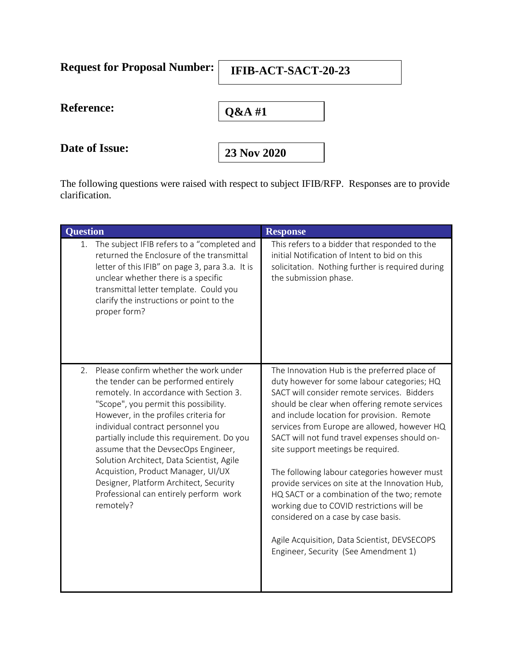| <b>Request for Proposal Number:</b> | IFIB-ACT-SACT-20-23 |
|-------------------------------------|---------------------|
| <b>Reference:</b>                   | $Q&AA$ #1           |
| Date of Issue:                      | 23 Nov 2020         |

The following questions were raised with respect to subject IFIB/RFP. Responses are to provide clarification.

| <b>Question</b>                                                                                                                                                                                                                                                                                                                                                                                                                                                                                                                | <b>Response</b>                                                                                                                                                                                                                                                                                                                                                                                                                                                                                                                                                                                                                                                                                                |
|--------------------------------------------------------------------------------------------------------------------------------------------------------------------------------------------------------------------------------------------------------------------------------------------------------------------------------------------------------------------------------------------------------------------------------------------------------------------------------------------------------------------------------|----------------------------------------------------------------------------------------------------------------------------------------------------------------------------------------------------------------------------------------------------------------------------------------------------------------------------------------------------------------------------------------------------------------------------------------------------------------------------------------------------------------------------------------------------------------------------------------------------------------------------------------------------------------------------------------------------------------|
| The subject IFIB refers to a "completed and<br>1.<br>returned the Enclosure of the transmittal<br>letter of this IFIB" on page 3, para 3.a. It is<br>unclear whether there is a specific<br>transmittal letter template. Could you<br>clarify the instructions or point to the<br>proper form?                                                                                                                                                                                                                                 | This refers to a bidder that responded to the<br>initial Notification of Intent to bid on this<br>solicitation. Nothing further is required during<br>the submission phase.                                                                                                                                                                                                                                                                                                                                                                                                                                                                                                                                    |
| Please confirm whether the work under<br>2.<br>the tender can be performed entirely<br>remotely. In accordance with Section 3.<br>"Scope", you permit this possibility.<br>However, in the profiles criteria for<br>individual contract personnel you<br>partially include this requirement. Do you<br>assume that the DevsecOps Engineer,<br>Solution Architect, Data Scientist, Agile<br>Acquistion, Product Manager, UI/UX<br>Designer, Platform Architect, Security<br>Professional can entirely perform work<br>remotely? | The Innovation Hub is the preferred place of<br>duty however for some labour categories; HQ<br>SACT will consider remote services. Bidders<br>should be clear when offering remote services<br>and include location for provision. Remote<br>services from Europe are allowed, however HQ<br>SACT will not fund travel expenses should on-<br>site support meetings be required.<br>The following labour categories however must<br>provide services on site at the Innovation Hub,<br>HQ SACT or a combination of the two; remote<br>working due to COVID restrictions will be<br>considered on a case by case basis.<br>Agile Acquisition, Data Scientist, DEVSECOPS<br>Engineer, Security (See Amendment 1) |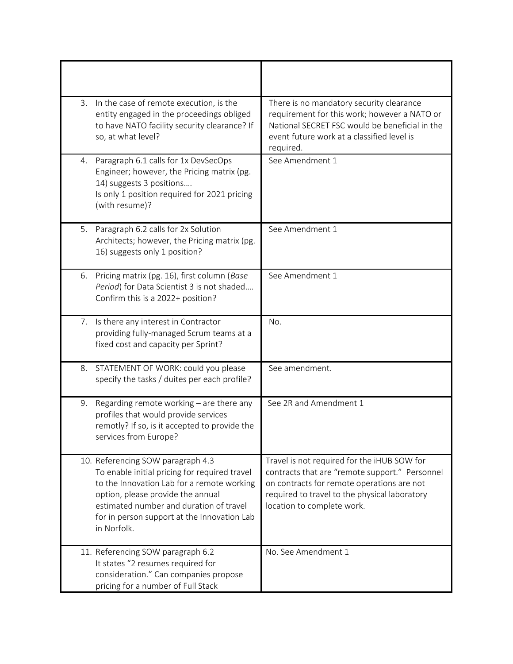| 3.          | In the case of remote execution, is the<br>entity engaged in the proceedings obliged<br>to have NATO facility security clearance? If<br>so, at what level?                                                                                                      | There is no mandatory security clearance<br>requirement for this work; however a NATO or<br>National SECRET FSC would be beneficial in the<br>event future work at a classified level is<br>required.                      |
|-------------|-----------------------------------------------------------------------------------------------------------------------------------------------------------------------------------------------------------------------------------------------------------------|----------------------------------------------------------------------------------------------------------------------------------------------------------------------------------------------------------------------------|
| 4.          | Paragraph 6.1 calls for 1x DevSecOps<br>Engineer; however, the Pricing matrix (pg.<br>14) suggests 3 positions<br>Is only 1 position required for 2021 pricing<br>(with resume)?                                                                                | See Amendment 1                                                                                                                                                                                                            |
| 5.          | Paragraph 6.2 calls for 2x Solution<br>Architects; however, the Pricing matrix (pg.<br>16) suggests only 1 position?                                                                                                                                            | See Amendment 1                                                                                                                                                                                                            |
| 6.          | Pricing matrix (pg. 16), first column (Base<br>Period) for Data Scientist 3 is not shaded<br>Confirm this is a 2022+ position?                                                                                                                                  | See Amendment 1                                                                                                                                                                                                            |
| 7.          | Is there any interest in Contractor<br>providing fully-managed Scrum teams at a<br>fixed cost and capacity per Sprint?                                                                                                                                          | No.                                                                                                                                                                                                                        |
| 8.          | STATEMENT OF WORK: could you please<br>specify the tasks / duites per each profile?                                                                                                                                                                             | See amendment.                                                                                                                                                                                                             |
| 9.          | Regarding remote working - are there any<br>profiles that would provide services<br>remotly? If so, is it accepted to provide the<br>services from Europe?                                                                                                      | See 2R and Amendment 1                                                                                                                                                                                                     |
| in Norfolk. | 10. Referencing SOW paragraph 4.3<br>To enable initial pricing for required travel<br>to the Innovation Lab for a remote working<br>option, please provide the annual<br>estimated number and duration of travel<br>for in person support at the Innovation Lab | Travel is not required for the iHUB SOW for<br>contracts that are "remote support." Personnel<br>on contracts for remote operations are not<br>required to travel to the physical laboratory<br>location to complete work. |
|             | 11. Referencing SOW paragraph 6.2<br>It states "2 resumes required for<br>consideration." Can companies propose<br>pricing for a number of Full Stack                                                                                                           | No. See Amendment 1                                                                                                                                                                                                        |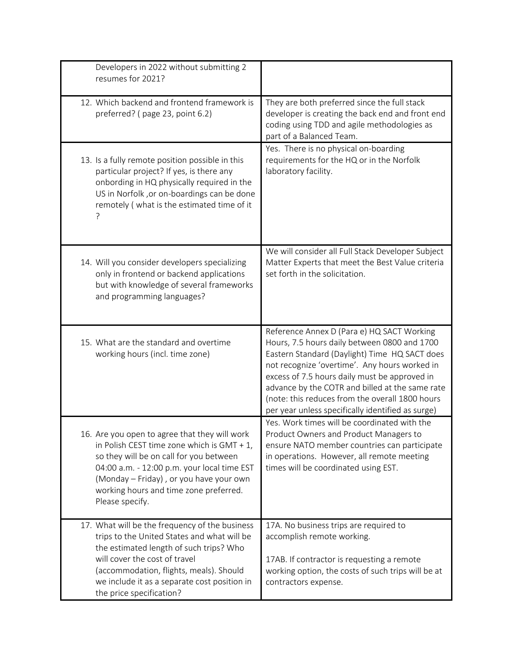| Developers in 2022 without submitting 2<br>resumes for 2021?                                                                                                                                                                                                                                     |                                                                                                                                                                                                                                                                                                                                                                                                          |
|--------------------------------------------------------------------------------------------------------------------------------------------------------------------------------------------------------------------------------------------------------------------------------------------------|----------------------------------------------------------------------------------------------------------------------------------------------------------------------------------------------------------------------------------------------------------------------------------------------------------------------------------------------------------------------------------------------------------|
| 12. Which backend and frontend framework is<br>preferred? (page 23, point 6.2)                                                                                                                                                                                                                   | They are both preferred since the full stack<br>developer is creating the back end and front end<br>coding using TDD and agile methodologies as<br>part of a Balanced Team.                                                                                                                                                                                                                              |
| 13. Is a fully remote position possible in this<br>particular project? If yes, is there any<br>onbording in HQ physically required in the<br>US in Norfolk, or on-boardings can be done<br>remotely (what is the estimated time of it                                                            | Yes. There is no physical on-boarding<br>requirements for the HQ or in the Norfolk<br>laboratory facility.                                                                                                                                                                                                                                                                                               |
| 14. Will you consider developers specializing<br>only in frontend or backend applications<br>but with knowledge of several frameworks<br>and programming languages?                                                                                                                              | We will consider all Full Stack Developer Subject<br>Matter Experts that meet the Best Value criteria<br>set forth in the solicitation.                                                                                                                                                                                                                                                                  |
| 15. What are the standard and overtime<br>working hours (incl. time zone)                                                                                                                                                                                                                        | Reference Annex D (Para e) HQ SACT Working<br>Hours, 7.5 hours daily between 0800 and 1700<br>Eastern Standard (Daylight) Time HQ SACT does<br>not recognize 'overtime'. Any hours worked in<br>excess of 7.5 hours daily must be approved in<br>advance by the COTR and billed at the same rate<br>(note: this reduces from the overall 1800 hours<br>per year unless specifically identified as surge) |
| 16. Are you open to agree that they will work<br>in Polish CEST time zone which is GMT + $1$ ,<br>so they will be on call for you between<br>04:00 a.m. - 12:00 p.m. your local time EST<br>(Monday - Friday), or you have your own<br>working hours and time zone preferred.<br>Please specify. | Yes. Work times will be coordinated with the<br>Product Owners and Product Managers to<br>ensure NATO member countries can participate<br>in operations. However, all remote meeting<br>times will be coordinated using EST.                                                                                                                                                                             |
| 17. What will be the frequency of the business<br>trips to the United States and what will be<br>the estimated length of such trips? Who<br>will cover the cost of travel<br>(accommodation, flights, meals). Should<br>we include it as a separate cost position in<br>the price specification? | 17A. No business trips are required to<br>accomplish remote working.<br>17AB. If contractor is requesting a remote<br>working option, the costs of such trips will be at<br>contractors expense.                                                                                                                                                                                                         |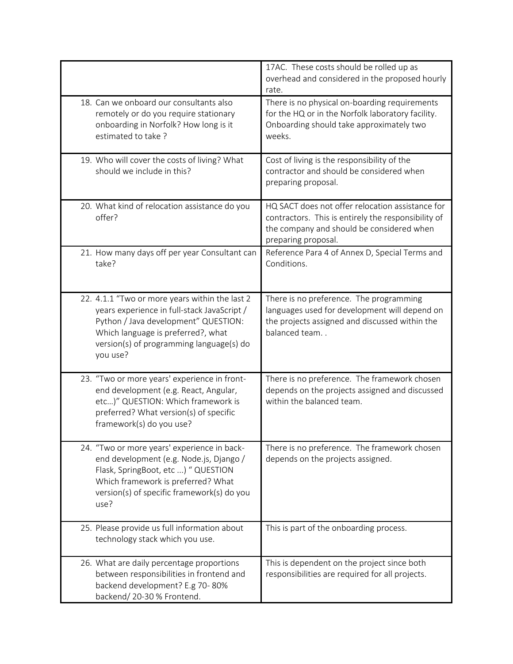|                                                                                                                                                                                                                                     | 17AC. These costs should be rolled up as<br>overhead and considered in the proposed hourly<br>rate.                                                                         |
|-------------------------------------------------------------------------------------------------------------------------------------------------------------------------------------------------------------------------------------|-----------------------------------------------------------------------------------------------------------------------------------------------------------------------------|
| 18. Can we onboard our consultants also<br>remotely or do you require stationary<br>onboarding in Norfolk? How long is it<br>estimated to take?                                                                                     | There is no physical on-boarding requirements<br>for the HQ or in the Norfolk laboratory facility.<br>Onboarding should take approximately two<br>weeks.                    |
| 19. Who will cover the costs of living? What<br>should we include in this?                                                                                                                                                          | Cost of living is the responsibility of the<br>contractor and should be considered when<br>preparing proposal.                                                              |
| 20. What kind of relocation assistance do you<br>offer?                                                                                                                                                                             | HQ SACT does not offer relocation assistance for<br>contractors. This is entirely the responsibility of<br>the company and should be considered when<br>preparing proposal. |
| 21. How many days off per year Consultant can<br>take?                                                                                                                                                                              | Reference Para 4 of Annex D, Special Terms and<br>Conditions.                                                                                                               |
| 22. 4.1.1 "Two or more years within the last 2<br>years experience in full-stack JavaScript /<br>Python / Java development" QUESTION:<br>Which language is preferred?, what<br>version(s) of programming language(s) do<br>you use? | There is no preference. The programming<br>languages used for development will depend on<br>the projects assigned and discussed within the<br>balanced team                 |
| 23. "Two or more years' experience in front-<br>end development (e.g. React, Angular,<br>etc)" QUESTION: Which framework is<br>preferred? What version(s) of specific<br>framework(s) do you use?                                   | There is no preference. The framework chosen<br>depends on the projects assigned and discussed<br>within the balanced team.                                                 |
| 24. "Two or more years' experience in back-<br>end development (e.g. Node.js, Django /<br>Flask, SpringBoot, etc ) " QUESTION<br>Which framework is preferred? What<br>version(s) of specific framework(s) do you<br>use?           | There is no preference. The framework chosen<br>depends on the projects assigned.                                                                                           |
| 25. Please provide us full information about<br>technology stack which you use.                                                                                                                                                     | This is part of the onboarding process.                                                                                                                                     |
| 26. What are daily percentage proportions<br>between responsibilities in frontend and<br>backend development? E.g 70-80%<br>backend/20-30% Frontend.                                                                                | This is dependent on the project since both<br>responsibilities are required for all projects.                                                                              |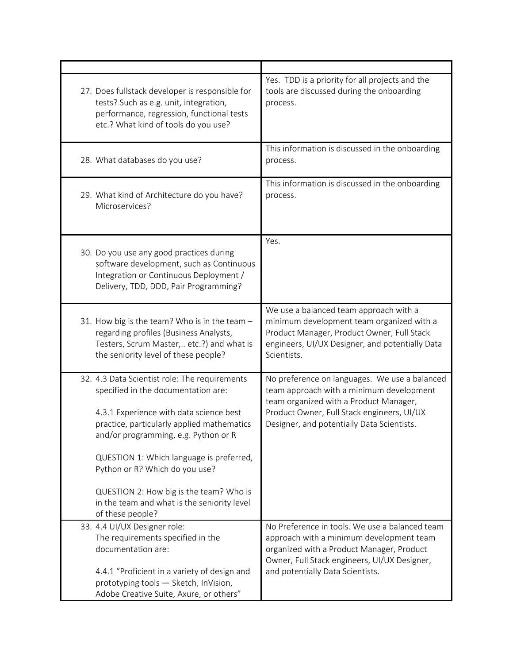| 27. Does fullstack developer is responsible for<br>tests? Such as e.g. unit, integration,<br>performance, regression, functional tests<br>etc.? What kind of tools do you use?                                                                                                                                                                                                                                    | Yes. TDD is a priority for all projects and the<br>tools are discussed during the onboarding<br>process.                                                                                                                        |
|-------------------------------------------------------------------------------------------------------------------------------------------------------------------------------------------------------------------------------------------------------------------------------------------------------------------------------------------------------------------------------------------------------------------|---------------------------------------------------------------------------------------------------------------------------------------------------------------------------------------------------------------------------------|
| 28. What databases do you use?                                                                                                                                                                                                                                                                                                                                                                                    | This information is discussed in the onboarding<br>process.                                                                                                                                                                     |
| 29. What kind of Architecture do you have?<br>Microservices?                                                                                                                                                                                                                                                                                                                                                      | This information is discussed in the onboarding<br>process.                                                                                                                                                                     |
| 30. Do you use any good practices during<br>software development, such as Continuous<br>Integration or Continuous Deployment /<br>Delivery, TDD, DDD, Pair Programming?                                                                                                                                                                                                                                           | Yes.                                                                                                                                                                                                                            |
| 31. How big is the team? Who is in the team -<br>regarding profiles (Business Analysts,<br>Testers, Scrum Master, etc.?) and what is<br>the seniority level of these people?                                                                                                                                                                                                                                      | We use a balanced team approach with a<br>minimum development team organized with a<br>Product Manager, Product Owner, Full Stack<br>engineers, UI/UX Designer, and potentially Data<br>Scientists.                             |
| 32. 4.3 Data Scientist role: The requirements<br>specified in the documentation are:<br>4.3.1 Experience with data science best<br>practice, particularly applied mathematics<br>and/or programming, e.g. Python or R<br>QUESTION 1: Which language is preferred,<br>Python or R? Which do you use?<br>QUESTION 2: How big is the team? Who is<br>in the team and what is the seniority level<br>of these people? | No preference on languages. We use a balanced<br>team approach with a minimum development<br>team organized with a Product Manager,<br>Product Owner, Full Stack engineers, UI/UX<br>Designer, and potentially Data Scientists. |
| 33. 4.4 UI/UX Designer role:<br>The requirements specified in the<br>documentation are:<br>4.4.1 "Proficient in a variety of design and<br>prototyping tools - Sketch, InVision,<br>Adobe Creative Suite, Axure, or others"                                                                                                                                                                                       | No Preference in tools. We use a balanced team<br>approach with a minimum development team<br>organized with a Product Manager, Product<br>Owner, Full Stack engineers, UI/UX Designer,<br>and potentially Data Scientists.     |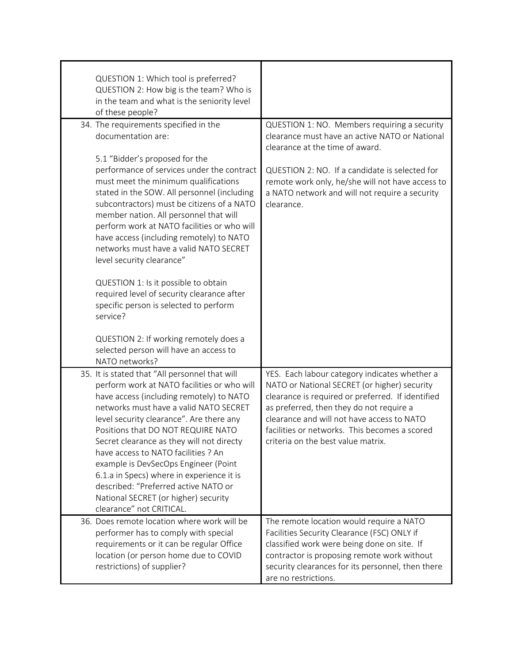| QUESTION 1: Which tool is preferred?<br>QUESTION 2: How big is the team? Who is<br>in the team and what is the seniority level<br>of these people?                                                                                                                                                                                                                                                                                                                                                                                                                                                                                       |                                                                                                                                                                                                                                                                                                                                     |
|------------------------------------------------------------------------------------------------------------------------------------------------------------------------------------------------------------------------------------------------------------------------------------------------------------------------------------------------------------------------------------------------------------------------------------------------------------------------------------------------------------------------------------------------------------------------------------------------------------------------------------------|-------------------------------------------------------------------------------------------------------------------------------------------------------------------------------------------------------------------------------------------------------------------------------------------------------------------------------------|
| 34. The requirements specified in the<br>documentation are:<br>5.1 "Bidder's proposed for the<br>performance of services under the contract<br>must meet the minimum qualifications<br>stated in the SOW. All personnel (including<br>subcontractors) must be citizens of a NATO<br>member nation. All personnel that will<br>perform work at NATO facilities or who will<br>have access (including remotely) to NATO<br>networks must have a valid NATO SECRET<br>level security clearance"<br>QUESTION 1: Is it possible to obtain<br>required level of security clearance after<br>specific person is selected to perform<br>service? | QUESTION 1: NO. Members requiring a security<br>clearance must have an active NATO or National<br>clearance at the time of award.<br>QUESTION 2: NO. If a candidate is selected for<br>remote work only, he/she will not have access to<br>a NATO network and will not require a security<br>clearance.                             |
| QUESTION 2: If working remotely does a<br>selected person will have an access to<br>NATO networks?                                                                                                                                                                                                                                                                                                                                                                                                                                                                                                                                       |                                                                                                                                                                                                                                                                                                                                     |
| 35. It is stated that "All personnel that will<br>perform work at NATO facilities or who will<br>have access (including remotely) to NATO<br>networks must have a valid NATO SECRET<br>level security clearance". Are there any<br>Positions that DO NOT REQUIRE NATO<br>Secret clearance as they will not directy<br>have access to NATO facilities ? An<br>example is DevSecOps Engineer (Point<br>6.1.a in Specs) where in experience it is<br>described: "Preferred active NATO or<br>National SECRET (or higher) security<br>clearance" not CRITICAL.                                                                               | YES. Each labour category indicates whether a<br>NATO or National SECRET (or higher) security<br>clearance is required or preferred. If identified<br>as preferred, then they do not require a<br>clearance and will not have access to NATO<br>facilities or networks. This becomes a scored<br>criteria on the best value matrix. |
| 36. Does remote location where work will be<br>performer has to comply with special<br>requirements or it can be regular Office<br>location (or person home due to COVID<br>restrictions) of supplier?                                                                                                                                                                                                                                                                                                                                                                                                                                   | The remote location would require a NATO<br>Facilities Security Clearance (FSC) ONLY if<br>classified work were being done on site. If<br>contractor is proposing remote work without<br>security clearances for its personnel, then there<br>are no restrictions.                                                                  |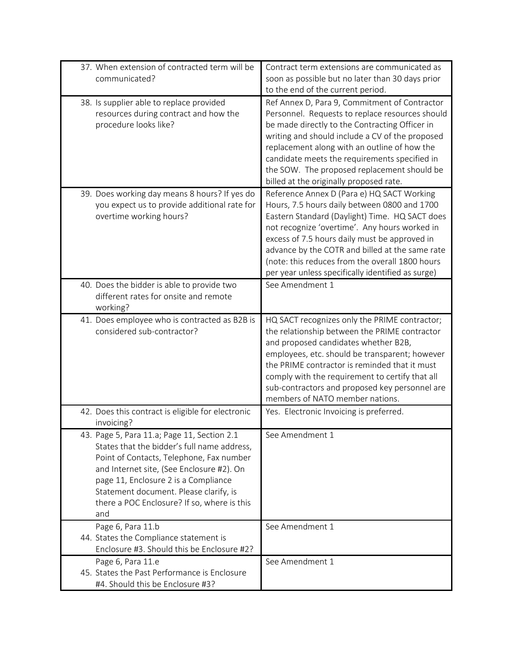| 37. When extension of contracted term will be<br>communicated?                                                                                                                                                                                                                                                              | Contract term extensions are communicated as<br>soon as possible but no later than 30 days prior<br>to the end of the current period.                                                                                                                                                                                                                                                                     |
|-----------------------------------------------------------------------------------------------------------------------------------------------------------------------------------------------------------------------------------------------------------------------------------------------------------------------------|-----------------------------------------------------------------------------------------------------------------------------------------------------------------------------------------------------------------------------------------------------------------------------------------------------------------------------------------------------------------------------------------------------------|
| 38. Is supplier able to replace provided<br>resources during contract and how the<br>procedure looks like?                                                                                                                                                                                                                  | Ref Annex D, Para 9, Commitment of Contractor<br>Personnel. Requests to replace resources should<br>be made directly to the Contracting Officer in<br>writing and should include a CV of the proposed<br>replacement along with an outline of how the<br>candidate meets the requirements specified in<br>the SOW. The proposed replacement should be<br>billed at the originally proposed rate.          |
| 39. Does working day means 8 hours? If yes do<br>you expect us to provide additional rate for<br>overtime working hours?                                                                                                                                                                                                    | Reference Annex D (Para e) HQ SACT Working<br>Hours, 7.5 hours daily between 0800 and 1700<br>Eastern Standard (Daylight) Time. HQ SACT does<br>not recognize 'overtime'. Any hours worked in<br>excess of 7.5 hours daily must be approved in<br>advance by the COTR and billed at the same rate<br>(note: this reduces from the overall 1800 hours<br>per year unless specifically identified as surge) |
| 40. Does the bidder is able to provide two<br>different rates for onsite and remote<br>working?                                                                                                                                                                                                                             | See Amendment 1                                                                                                                                                                                                                                                                                                                                                                                           |
| 41. Does employee who is contracted as B2B is<br>considered sub-contractor?                                                                                                                                                                                                                                                 | HQ SACT recognizes only the PRIME contractor;<br>the relationship between the PRIME contractor<br>and proposed candidates whether B2B,<br>employees, etc. should be transparent; however<br>the PRIME contractor is reminded that it must<br>comply with the requirement to certify that all<br>sub-contractors and proposed key personnel are<br>members of NATO member nations.                         |
| 42. Does this contract is eligible for electronic<br>invoicing?                                                                                                                                                                                                                                                             | Yes. Electronic Invoicing is preferred.                                                                                                                                                                                                                                                                                                                                                                   |
| 43. Page 5, Para 11.a; Page 11, Section 2.1<br>States that the bidder's full name address,<br>Point of Contacts, Telephone, Fax number<br>and Internet site, (See Enclosure #2). On<br>page 11, Enclosure 2 is a Compliance<br>Statement document. Please clarify, is<br>there a POC Enclosure? If so, where is this<br>and | See Amendment 1                                                                                                                                                                                                                                                                                                                                                                                           |
| Page 6, Para 11.b<br>44. States the Compliance statement is<br>Enclosure #3. Should this be Enclosure #2?                                                                                                                                                                                                                   | See Amendment 1                                                                                                                                                                                                                                                                                                                                                                                           |
| Page 6, Para 11.e<br>45. States the Past Performance is Enclosure<br>#4. Should this be Enclosure #3?                                                                                                                                                                                                                       | See Amendment 1                                                                                                                                                                                                                                                                                                                                                                                           |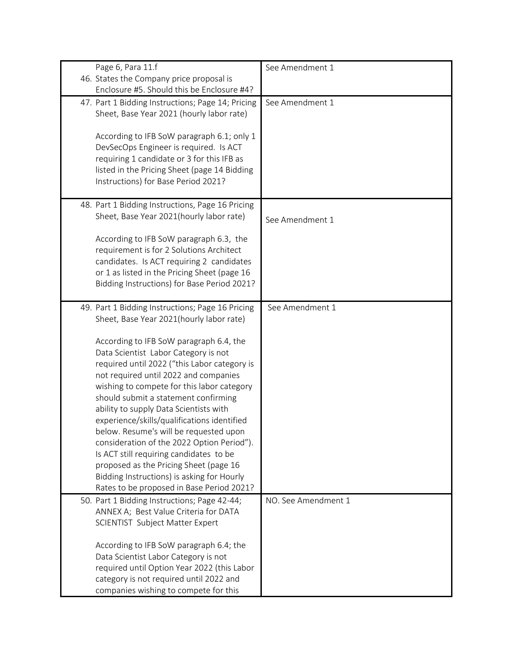| Page 6, Para 11.f                                 | See Amendment 1     |
|---------------------------------------------------|---------------------|
| 46. States the Company price proposal is          |                     |
| Enclosure #5. Should this be Enclosure #4?        |                     |
| 47. Part 1 Bidding Instructions; Page 14; Pricing | See Amendment 1     |
| Sheet, Base Year 2021 (hourly labor rate)         |                     |
|                                                   |                     |
| According to IFB SoW paragraph 6.1; only 1        |                     |
| DevSecOps Engineer is required. Is ACT            |                     |
| requiring 1 candidate or 3 for this IFB as        |                     |
| listed in the Pricing Sheet (page 14 Bidding      |                     |
| Instructions) for Base Period 2021?               |                     |
|                                                   |                     |
| 48. Part 1 Bidding Instructions, Page 16 Pricing  |                     |
| Sheet, Base Year 2021(hourly labor rate)          | See Amendment 1     |
|                                                   |                     |
| According to IFB SoW paragraph 6.3, the           |                     |
| requirement is for 2 Solutions Architect          |                     |
| candidates. Is ACT requiring 2 candidates         |                     |
| or 1 as listed in the Pricing Sheet (page 16      |                     |
| Bidding Instructions) for Base Period 2021?       |                     |
|                                                   |                     |
| 49. Part 1 Bidding Instructions; Page 16 Pricing  | See Amendment 1     |
| Sheet, Base Year 2021(hourly labor rate)          |                     |
| According to IFB SoW paragraph 6.4, the           |                     |
| Data Scientist Labor Category is not              |                     |
| required until 2022 ("this Labor category is      |                     |
| not required until 2022 and companies             |                     |
| wishing to compete for this labor category        |                     |
| should submit a statement confirming              |                     |
| ability to supply Data Scientists with            |                     |
| experience/skills/qualifications identified       |                     |
| below. Resume's will be requested upon            |                     |
| consideration of the 2022 Option Period").        |                     |
| Is ACT still requiring candidates to be           |                     |
| proposed as the Pricing Sheet (page 16            |                     |
| Bidding Instructions) is asking for Hourly        |                     |
| Rates to be proposed in Base Period 2021?         |                     |
| 50. Part 1 Bidding Instructions; Page 42-44;      | NO. See Amendment 1 |
| ANNEX A; Best Value Criteria for DATA             |                     |
| SCIENTIST Subject Matter Expert                   |                     |
|                                                   |                     |
| According to IFB SoW paragraph 6.4; the           |                     |
| Data Scientist Labor Category is not              |                     |
| required until Option Year 2022 (this Labor       |                     |
| category is not required until 2022 and           |                     |
| companies wishing to compete for this             |                     |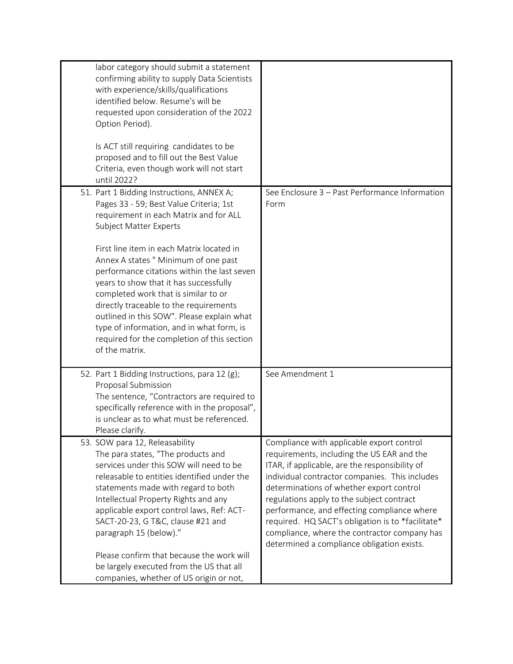| labor category should submit a statement<br>confirming ability to supply Data Scientists<br>with experience/skills/qualifications<br>identified below. Resume's will be<br>requested upon consideration of the 2022<br>Option Period).<br>Is ACT still requiring candidates to be<br>proposed and to fill out the Best Value<br>Criteria, even though work will not start<br>until 2022?                                                                                                                                                                                                    |                                                                                                                                                                                                                                                                                                                                                                                                                                                                                        |
|---------------------------------------------------------------------------------------------------------------------------------------------------------------------------------------------------------------------------------------------------------------------------------------------------------------------------------------------------------------------------------------------------------------------------------------------------------------------------------------------------------------------------------------------------------------------------------------------|----------------------------------------------------------------------------------------------------------------------------------------------------------------------------------------------------------------------------------------------------------------------------------------------------------------------------------------------------------------------------------------------------------------------------------------------------------------------------------------|
| 51. Part 1 Bidding Instructions, ANNEX A;<br>Pages 33 - 59; Best Value Criteria; 1st<br>requirement in each Matrix and for ALL<br><b>Subject Matter Experts</b><br>First line item in each Matrix located in<br>Annex A states " Minimum of one past<br>performance citations within the last seven<br>years to show that it has successfully<br>completed work that is similar to or<br>directly traceable to the requirements<br>outlined in this SOW". Please explain what<br>type of information, and in what form, is<br>required for the completion of this section<br>of the matrix. | See Enclosure 3 - Past Performance Information<br>Form                                                                                                                                                                                                                                                                                                                                                                                                                                 |
| 52. Part 1 Bidding Instructions, para 12 (g);<br>Proposal Submission<br>The sentence, "Contractors are required to<br>specifically reference with in the proposal",<br>is unclear as to what must be referenced.<br>Please clarify.                                                                                                                                                                                                                                                                                                                                                         | See Amendment 1                                                                                                                                                                                                                                                                                                                                                                                                                                                                        |
| 53. SOW para 12, Releasability<br>The para states, "The products and<br>services under this SOW will need to be<br>releasable to entities identified under the<br>statements made with regard to both<br>Intellectual Property Rights and any<br>applicable export control laws, Ref: ACT-<br>SACT-20-23, G T&C, clause #21 and<br>paragraph 15 (below)."<br>Please confirm that because the work will<br>be largely executed from the US that all<br>companies, whether of US origin or not,                                                                                               | Compliance with applicable export control<br>requirements, including the US EAR and the<br>ITAR, if applicable, are the responsibility of<br>individual contractor companies. This includes<br>determinations of whether export control<br>regulations apply to the subject contract<br>performance, and effecting compliance where<br>required. HQ SACT's obligation is to *facilitate*<br>compliance, where the contractor company has<br>determined a compliance obligation exists. |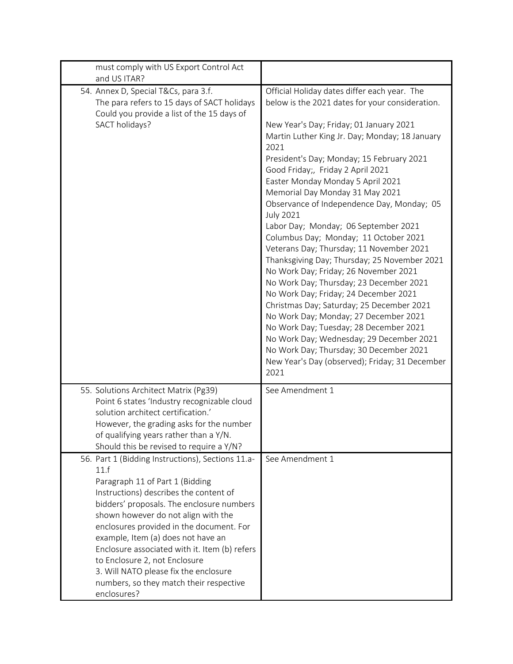| must comply with US Export Control Act<br>and US ITAR?                                                                                                                                                                                                                                                                                                                                                                                                                                            |                                                                                                                                                                                                                                                                                                                                                                                                                                                                                                                                                                                                                                                                                                                                                                                                                                                                                                                                                                                                                             |
|---------------------------------------------------------------------------------------------------------------------------------------------------------------------------------------------------------------------------------------------------------------------------------------------------------------------------------------------------------------------------------------------------------------------------------------------------------------------------------------------------|-----------------------------------------------------------------------------------------------------------------------------------------------------------------------------------------------------------------------------------------------------------------------------------------------------------------------------------------------------------------------------------------------------------------------------------------------------------------------------------------------------------------------------------------------------------------------------------------------------------------------------------------------------------------------------------------------------------------------------------------------------------------------------------------------------------------------------------------------------------------------------------------------------------------------------------------------------------------------------------------------------------------------------|
| 54. Annex D, Special T&Cs, para 3.f.<br>The para refers to 15 days of SACT holidays<br>Could you provide a list of the 15 days of<br>SACT holidays?                                                                                                                                                                                                                                                                                                                                               | Official Holiday dates differ each year. The<br>below is the 2021 dates for your consideration.<br>New Year's Day; Friday; 01 January 2021<br>Martin Luther King Jr. Day; Monday; 18 January<br>2021<br>President's Day; Monday; 15 February 2021<br>Good Friday;, Friday 2 April 2021<br>Easter Monday Monday 5 April 2021<br>Memorial Day Monday 31 May 2021<br>Observance of Independence Day, Monday; 05<br><b>July 2021</b><br>Labor Day; Monday; 06 September 2021<br>Columbus Day; Monday; 11 October 2021<br>Veterans Day; Thursday; 11 November 2021<br>Thanksgiving Day; Thursday; 25 November 2021<br>No Work Day; Friday; 26 November 2021<br>No Work Day; Thursday; 23 December 2021<br>No Work Day; Friday; 24 December 2021<br>Christmas Day; Saturday; 25 December 2021<br>No Work Day; Monday; 27 December 2021<br>No Work Day; Tuesday; 28 December 2021<br>No Work Day; Wednesday; 29 December 2021<br>No Work Day; Thursday; 30 December 2021<br>New Year's Day (observed); Friday; 31 December<br>2021 |
| 55. Solutions Architect Matrix (Pg39)<br>Point 6 states 'Industry recognizable cloud<br>solution architect certification.'<br>However, the grading asks for the number<br>of qualifying years rather than a Y/N.<br>Should this be revised to require a Y/N?                                                                                                                                                                                                                                      | See Amendment 1                                                                                                                                                                                                                                                                                                                                                                                                                                                                                                                                                                                                                                                                                                                                                                                                                                                                                                                                                                                                             |
| 56. Part 1 (Bidding Instructions), Sections 11.a-<br>11.f<br>Paragraph 11 of Part 1 (Bidding<br>Instructions) describes the content of<br>bidders' proposals. The enclosure numbers<br>shown however do not align with the<br>enclosures provided in the document. For<br>example, Item (a) does not have an<br>Enclosure associated with it. Item (b) refers<br>to Enclosure 2, not Enclosure<br>3. Will NATO please fix the enclosure<br>numbers, so they match their respective<br>enclosures? | See Amendment 1                                                                                                                                                                                                                                                                                                                                                                                                                                                                                                                                                                                                                                                                                                                                                                                                                                                                                                                                                                                                             |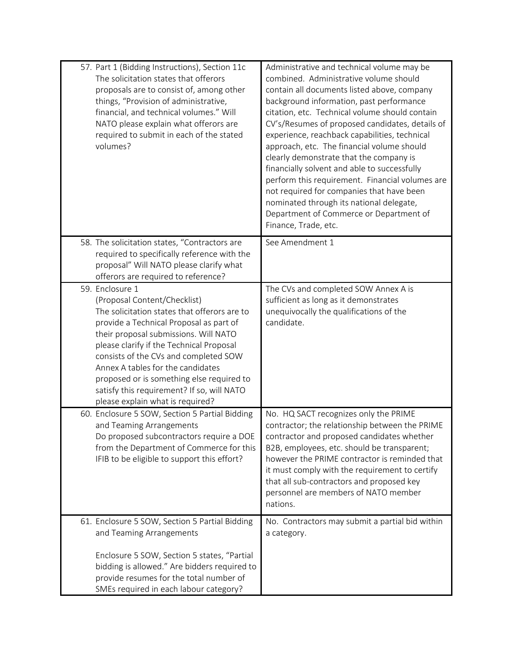| 57. Part 1 (Bidding Instructions), Section 11c<br>The solicitation states that offerors<br>proposals are to consist of, among other<br>things, "Provision of administrative,<br>financial, and technical volumes." Will<br>NATO please explain what offerors are<br>required to submit in each of the stated<br>volumes?                                                                                                                     | Administrative and technical volume may be<br>combined. Administrative volume should<br>contain all documents listed above, company<br>background information, past performance<br>citation, etc. Technical volume should contain<br>CV's/Resumes of proposed candidates, details of<br>experience, reachback capabilities, technical<br>approach, etc. The financial volume should<br>clearly demonstrate that the company is<br>financially solvent and able to successfully<br>perform this requirement. Financial volumes are<br>not required for companies that have been<br>nominated through its national delegate,<br>Department of Commerce or Department of<br>Finance, Trade, etc. |
|----------------------------------------------------------------------------------------------------------------------------------------------------------------------------------------------------------------------------------------------------------------------------------------------------------------------------------------------------------------------------------------------------------------------------------------------|-----------------------------------------------------------------------------------------------------------------------------------------------------------------------------------------------------------------------------------------------------------------------------------------------------------------------------------------------------------------------------------------------------------------------------------------------------------------------------------------------------------------------------------------------------------------------------------------------------------------------------------------------------------------------------------------------|
| 58. The solicitation states, "Contractors are<br>required to specifically reference with the<br>proposal" Will NATO please clarify what<br>offerors are required to reference?                                                                                                                                                                                                                                                               | See Amendment 1                                                                                                                                                                                                                                                                                                                                                                                                                                                                                                                                                                                                                                                                               |
| 59. Enclosure 1<br>(Proposal Content/Checklist)<br>The solicitation states that offerors are to<br>provide a Technical Proposal as part of<br>their proposal submissions. Will NATO<br>please clarify if the Technical Proposal<br>consists of the CVs and completed SOW<br>Annex A tables for the candidates<br>proposed or is something else required to<br>satisfy this requirement? If so, will NATO<br>please explain what is required? | The CVs and completed SOW Annex A is<br>sufficient as long as it demonstrates<br>unequivocally the qualifications of the<br>candidate.                                                                                                                                                                                                                                                                                                                                                                                                                                                                                                                                                        |
| 60. Enclosure 5 SOW, Section 5 Partial Bidding<br>and Teaming Arrangements<br>Do proposed subcontractors require a DOE<br>from the Department of Commerce for this<br>IFIB to be eligible to support this effort?                                                                                                                                                                                                                            | No. HQ SACT recognizes only the PRIME<br>contractor; the relationship between the PRIME<br>contractor and proposed candidates whether<br>B2B, employees, etc. should be transparent;<br>however the PRIME contractor is reminded that<br>it must comply with the requirement to certify<br>that all sub-contractors and proposed key<br>personnel are members of NATO member<br>nations.                                                                                                                                                                                                                                                                                                      |
| 61. Enclosure 5 SOW, Section 5 Partial Bidding<br>and Teaming Arrangements<br>Enclosure 5 SOW, Section 5 states, "Partial<br>bidding is allowed." Are bidders required to<br>provide resumes for the total number of<br>SMEs required in each labour category?                                                                                                                                                                               | No. Contractors may submit a partial bid within<br>a category.                                                                                                                                                                                                                                                                                                                                                                                                                                                                                                                                                                                                                                |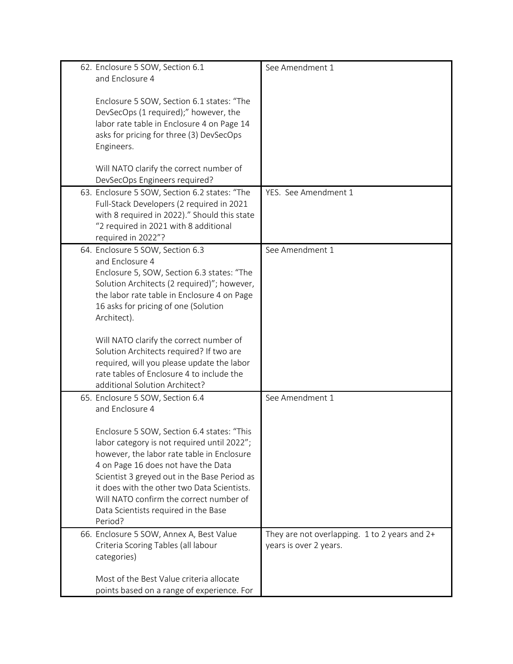| 62. Enclosure 5 SOW, Section 6.1<br>and Enclosure 4                                        | See Amendment 1                               |
|--------------------------------------------------------------------------------------------|-----------------------------------------------|
|                                                                                            |                                               |
| Enclosure 5 SOW, Section 6.1 states: "The                                                  |                                               |
| DevSecOps (1 required);" however, the                                                      |                                               |
| labor rate table in Enclosure 4 on Page 14<br>asks for pricing for three (3) DevSecOps     |                                               |
| Engineers.                                                                                 |                                               |
|                                                                                            |                                               |
| Will NATO clarify the correct number of                                                    |                                               |
| DevSecOps Engineers required?                                                              |                                               |
| 63. Enclosure 5 SOW, Section 6.2 states: "The<br>Full-Stack Developers (2 required in 2021 | YES. See Amendment 1                          |
| with 8 required in 2022)." Should this state                                               |                                               |
| "2 required in 2021 with 8 additional                                                      |                                               |
| required in 2022"?                                                                         |                                               |
| 64. Enclosure 5 SOW, Section 6.3                                                           | See Amendment 1                               |
| and Enclosure 4                                                                            |                                               |
| Enclosure 5, SOW, Section 6.3 states: "The                                                 |                                               |
| Solution Architects (2 required)"; however,<br>the labor rate table in Enclosure 4 on Page |                                               |
| 16 asks for pricing of one (Solution                                                       |                                               |
| Architect).                                                                                |                                               |
|                                                                                            |                                               |
| Will NATO clarify the correct number of                                                    |                                               |
| Solution Architects required? If two are                                                   |                                               |
| required, will you please update the labor<br>rate tables of Enclosure 4 to include the    |                                               |
| additional Solution Architect?                                                             |                                               |
| 65. Enclosure 5 SOW, Section 6.4                                                           | See Amendment 1                               |
| and Enclosure 4                                                                            |                                               |
|                                                                                            |                                               |
| Enclosure 5 SOW, Section 6.4 states: "This                                                 |                                               |
| labor category is not required until 2022";                                                |                                               |
| however, the labor rate table in Enclosure<br>4 on Page 16 does not have the Data          |                                               |
| Scientist 3 greyed out in the Base Period as                                               |                                               |
| it does with the other two Data Scientists.                                                |                                               |
| Will NATO confirm the correct number of                                                    |                                               |
| Data Scientists required in the Base                                                       |                                               |
| Period?                                                                                    |                                               |
| 66. Enclosure 5 SOW, Annex A, Best Value                                                   | They are not overlapping. 1 to 2 years and 2+ |
| Criteria Scoring Tables (all labour                                                        | years is over 2 years.                        |
| categories)                                                                                |                                               |
| Most of the Best Value criteria allocate                                                   |                                               |
| points based on a range of experience. For                                                 |                                               |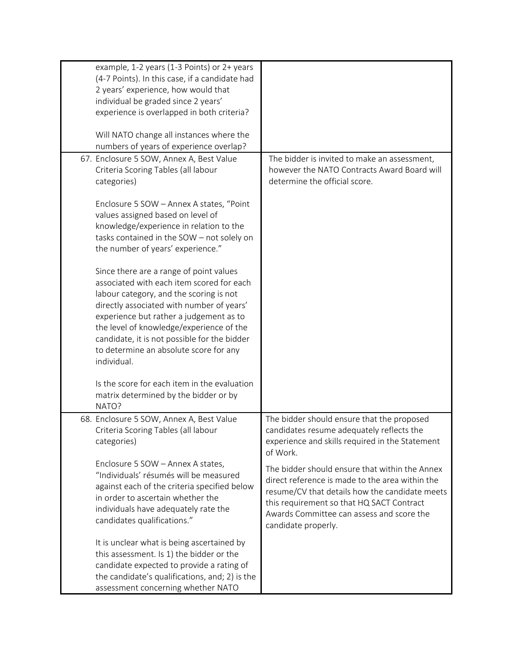| example, 1-2 years (1-3 Points) or 2+ years<br>(4-7 Points). In this case, if a candidate had<br>2 years' experience, how would that<br>individual be graded since 2 years'<br>experience is overlapped in both criteria?                                                                                                                                                    |                                                                                                                                                                                                                                                                      |
|------------------------------------------------------------------------------------------------------------------------------------------------------------------------------------------------------------------------------------------------------------------------------------------------------------------------------------------------------------------------------|----------------------------------------------------------------------------------------------------------------------------------------------------------------------------------------------------------------------------------------------------------------------|
| Will NATO change all instances where the<br>numbers of years of experience overlap?                                                                                                                                                                                                                                                                                          |                                                                                                                                                                                                                                                                      |
| 67. Enclosure 5 SOW, Annex A, Best Value<br>Criteria Scoring Tables (all labour<br>categories)                                                                                                                                                                                                                                                                               | The bidder is invited to make an assessment,<br>however the NATO Contracts Award Board will<br>determine the official score.                                                                                                                                         |
| Enclosure 5 SOW - Annex A states, "Point<br>values assigned based on level of<br>knowledge/experience in relation to the<br>tasks contained in the SOW - not solely on<br>the number of years' experience."                                                                                                                                                                  |                                                                                                                                                                                                                                                                      |
| Since there are a range of point values<br>associated with each item scored for each<br>labour category, and the scoring is not<br>directly associated with number of years'<br>experience but rather a judgement as to<br>the level of knowledge/experience of the<br>candidate, it is not possible for the bidder<br>to determine an absolute score for any<br>individual. |                                                                                                                                                                                                                                                                      |
| Is the score for each item in the evaluation<br>matrix determined by the bidder or by<br>NATO?                                                                                                                                                                                                                                                                               |                                                                                                                                                                                                                                                                      |
| 68. Enclosure 5 SOW, Annex A, Best Value<br>Criteria Scoring Tables (all labour<br>categories)                                                                                                                                                                                                                                                                               | The bidder should ensure that the proposed<br>candidates resume adequately reflects the<br>experience and skills required in the Statement<br>of Work.                                                                                                               |
| Enclosure 5 SOW - Annex A states,<br>"Individuals' résumés will be measured<br>against each of the criteria specified below<br>in order to ascertain whether the<br>individuals have adequately rate the<br>candidates qualifications."                                                                                                                                      | The bidder should ensure that within the Annex<br>direct reference is made to the area within the<br>resume/CV that details how the candidate meets<br>this requirement so that HQ SACT Contract<br>Awards Committee can assess and score the<br>candidate properly. |
| It is unclear what is being ascertained by<br>this assessment. Is 1) the bidder or the<br>candidate expected to provide a rating of<br>the candidate's qualifications, and; 2) is the<br>assessment concerning whether NATO                                                                                                                                                  |                                                                                                                                                                                                                                                                      |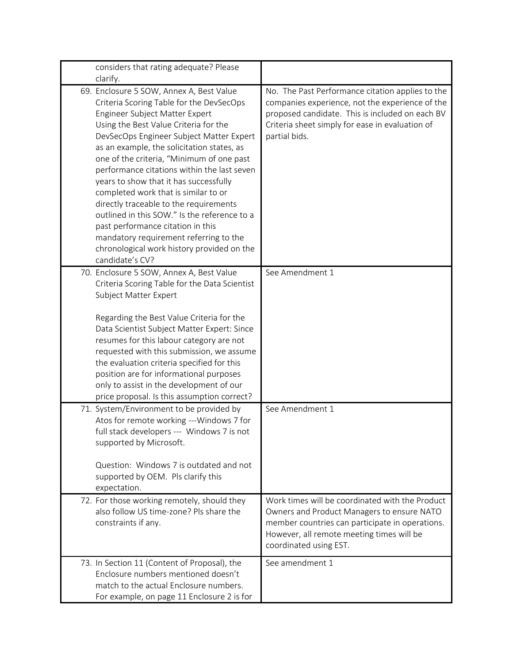| considers that rating adequate? Please                                                                                                                                                                                                                                                                                                                                                                                                                                                                                                                                                                                                                                            |                                                                                                                                                                                                                            |
|-----------------------------------------------------------------------------------------------------------------------------------------------------------------------------------------------------------------------------------------------------------------------------------------------------------------------------------------------------------------------------------------------------------------------------------------------------------------------------------------------------------------------------------------------------------------------------------------------------------------------------------------------------------------------------------|----------------------------------------------------------------------------------------------------------------------------------------------------------------------------------------------------------------------------|
| clarify.                                                                                                                                                                                                                                                                                                                                                                                                                                                                                                                                                                                                                                                                          |                                                                                                                                                                                                                            |
| 69. Enclosure 5 SOW, Annex A, Best Value<br>Criteria Scoring Table for the DevSecOps<br>Engineer Subject Matter Expert<br>Using the Best Value Criteria for the<br>DevSecOps Engineer Subject Matter Expert<br>as an example, the solicitation states, as<br>one of the criteria, "Minimum of one past<br>performance citations within the last seven<br>years to show that it has successfully<br>completed work that is similar to or<br>directly traceable to the requirements<br>outlined in this SOW." Is the reference to a<br>past performance citation in this<br>mandatory requirement referring to the<br>chronological work history provided on the<br>candidate's CV? | No. The Past Performance citation applies to the<br>companies experience, not the experience of the<br>proposed candidate. This is included on each BV<br>Criteria sheet simply for ease in evaluation of<br>partial bids. |
| 70. Enclosure 5 SOW, Annex A, Best Value<br>Criteria Scoring Table for the Data Scientist<br>Subject Matter Expert<br>Regarding the Best Value Criteria for the<br>Data Scientist Subject Matter Expert: Since<br>resumes for this labour category are not<br>requested with this submission, we assume<br>the evaluation criteria specified for this<br>position are for informational purposes<br>only to assist in the development of our<br>price proposal. Is this assumption correct?                                                                                                                                                                                       | See Amendment 1                                                                                                                                                                                                            |
| 71. System/Environment to be provided by<br>Atos for remote working ---Windows 7 for<br>full stack developers --- Windows 7 is not<br>supported by Microsoft.<br>Question: Windows 7 is outdated and not<br>supported by OEM. Pls clarify this<br>expectation.<br>72. For those working remotely, should they                                                                                                                                                                                                                                                                                                                                                                     | See Amendment 1<br>Work times will be coordinated with the Product                                                                                                                                                         |
| also follow US time-zone? Pls share the<br>constraints if any.                                                                                                                                                                                                                                                                                                                                                                                                                                                                                                                                                                                                                    | Owners and Product Managers to ensure NATO<br>member countries can participate in operations.<br>However, all remote meeting times will be<br>coordinated using EST.                                                       |
| 73. In Section 11 (Content of Proposal), the<br>Enclosure numbers mentioned doesn't<br>match to the actual Enclosure numbers.<br>For example, on page 11 Enclosure 2 is for                                                                                                                                                                                                                                                                                                                                                                                                                                                                                                       | See amendment 1                                                                                                                                                                                                            |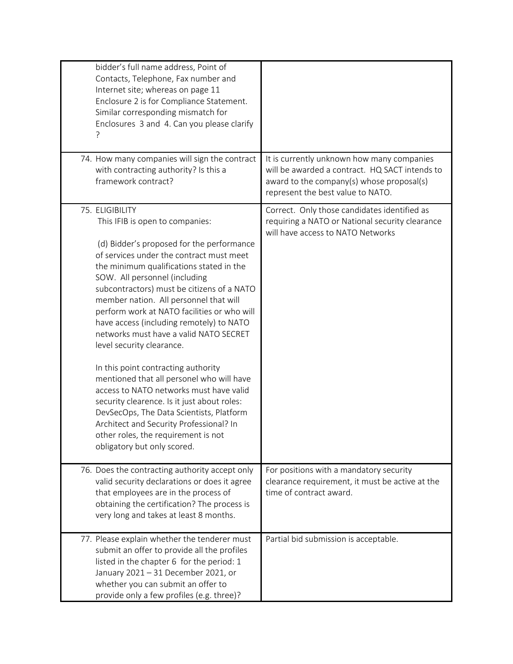| bidder's full name address, Point of<br>Contacts, Telephone, Fax number and<br>Internet site; whereas on page 11<br>Enclosure 2 is for Compliance Statement.<br>Similar corresponding mismatch for<br>Enclosures 3 and 4. Can you please clarify<br>74. How many companies will sign the contract                                                                                                                                                                                                                                                                                                                                                                                                                                                                                                                             | It is currently unknown how many companies                                                                                           |
|-------------------------------------------------------------------------------------------------------------------------------------------------------------------------------------------------------------------------------------------------------------------------------------------------------------------------------------------------------------------------------------------------------------------------------------------------------------------------------------------------------------------------------------------------------------------------------------------------------------------------------------------------------------------------------------------------------------------------------------------------------------------------------------------------------------------------------|--------------------------------------------------------------------------------------------------------------------------------------|
| with contracting authority? Is this a<br>framework contract?                                                                                                                                                                                                                                                                                                                                                                                                                                                                                                                                                                                                                                                                                                                                                                  | will be awarded a contract. HQ SACT intends to<br>award to the company(s) whose proposal(s)<br>represent the best value to NATO.     |
| 75. ELIGIBILITY<br>This IFIB is open to companies:<br>(d) Bidder's proposed for the performance<br>of services under the contract must meet<br>the minimum qualifications stated in the<br>SOW. All personnel (including<br>subcontractors) must be citizens of a NATO<br>member nation. All personnel that will<br>perform work at NATO facilities or who will<br>have access (including remotely) to NATO<br>networks must have a valid NATO SECRET<br>level security clearance.<br>In this point contracting authority<br>mentioned that all personel who will have<br>access to NATO networks must have valid<br>security clearence. Is it just about roles:<br>DevSecOps, The Data Scientists, Platform<br>Architect and Security Professional? In<br>other roles, the requirement is not<br>obligatory but only scored. | Correct. Only those candidates identified as<br>requiring a NATO or National security clearance<br>will have access to NATO Networks |
| 76. Does the contracting authority accept only<br>valid security declarations or does it agree<br>that employees are in the process of<br>obtaining the certification? The process is<br>very long and takes at least 8 months.                                                                                                                                                                                                                                                                                                                                                                                                                                                                                                                                                                                               | For positions with a mandatory security<br>clearance requirement, it must be active at the<br>time of contract award.                |
| 77. Please explain whether the tenderer must<br>submit an offer to provide all the profiles<br>listed in the chapter 6 for the period: 1<br>January 2021 - 31 December 2021, or<br>whether you can submit an offer to<br>provide only a few profiles (e.g. three)?                                                                                                                                                                                                                                                                                                                                                                                                                                                                                                                                                            | Partial bid submission is acceptable.                                                                                                |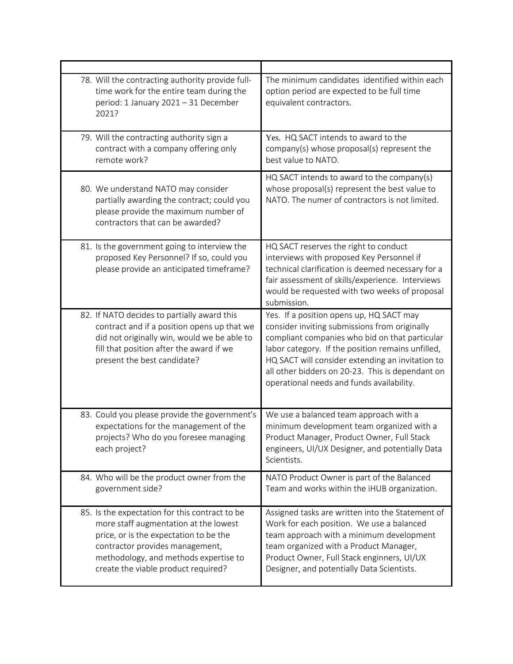| 78. Will the contracting authority provide full-<br>time work for the entire team during the<br>period: 1 January 2021 - 31 December<br>2021?                                                                                                        | The minimum candidates identified within each<br>option period are expected to be full time<br>equivalent contractors.                                                                                                                                                                                                                                |
|------------------------------------------------------------------------------------------------------------------------------------------------------------------------------------------------------------------------------------------------------|-------------------------------------------------------------------------------------------------------------------------------------------------------------------------------------------------------------------------------------------------------------------------------------------------------------------------------------------------------|
| 79. Will the contracting authority sign a<br>contract with a company offering only<br>remote work?                                                                                                                                                   | Yes. HQ SACT intends to award to the<br>company(s) whose proposal(s) represent the<br>best value to NATO.                                                                                                                                                                                                                                             |
| 80. We understand NATO may consider<br>partially awarding the contract; could you<br>please provide the maximum number of<br>contractors that can be awarded?                                                                                        | HQ SACT intends to award to the company(s)<br>whose proposal(s) represent the best value to<br>NATO. The numer of contractors is not limited.                                                                                                                                                                                                         |
| 81. Is the government going to interview the<br>proposed Key Personnel? If so, could you<br>please provide an anticipated timeframe?                                                                                                                 | HQ SACT reserves the right to conduct<br>interviews with proposed Key Personnel if<br>technical clarification is deemed necessary for a<br>fair assessment of skills/experience. Interviews<br>would be requested with two weeks of proposal<br>submission.                                                                                           |
| 82. If NATO decides to partially award this<br>contract and if a position opens up that we<br>did not originally win, would we be able to<br>fill that position after the award if we<br>present the best candidate?                                 | Yes. If a position opens up, HQ SACT may<br>consider inviting submissions from originally<br>compliant companies who bid on that particular<br>labor category. If the position remains unfilled,<br>HQ SACT will consider extending an invitation to<br>all other bidders on 20-23. This is dependant on<br>operational needs and funds availability. |
| 83. Could you please provide the government's<br>expectations for the management of the<br>projects? Who do you foresee managing<br>each project?                                                                                                    | We use a balanced team approach with a<br>minimum development team organized with a<br>Product Manager, Product Owner, Full Stack<br>engineers, UI/UX Designer, and potentially Data<br>Scientists.                                                                                                                                                   |
| 84. Who will be the product owner from the<br>government side?                                                                                                                                                                                       | NATO Product Owner is part of the Balanced<br>Team and works within the iHUB organization.                                                                                                                                                                                                                                                            |
| 85. Is the expectation for this contract to be<br>more staff augmentation at the lowest<br>price, or is the expectation to be the<br>contractor provides management,<br>methodology, and methods expertise to<br>create the viable product required? | Assigned tasks are written into the Statement of<br>Work for each position. We use a balanced<br>team approach with a minimum development<br>team organized with a Product Manager,<br>Product Owner, Full Stack enginners, UI/UX<br>Designer, and potentially Data Scientists.                                                                       |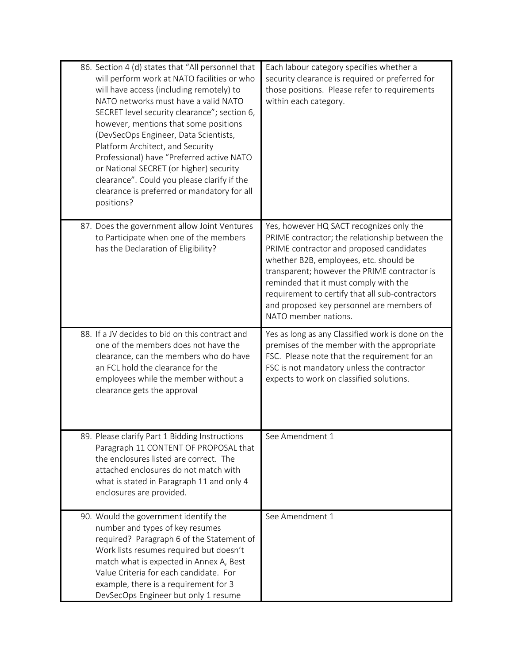| 86. Section 4 (d) states that "All personnel that<br>will perform work at NATO facilities or who<br>will have access (including remotely) to<br>NATO networks must have a valid NATO<br>SECRET level security clearance"; section 6,<br>however, mentions that some positions<br>(DevSecOps Engineer, Data Scientists,<br>Platform Architect, and Security<br>Professional) have "Preferred active NATO<br>or National SECRET (or higher) security<br>clearance". Could you please clarify if the<br>clearance is preferred or mandatory for all<br>positions? | Each labour category specifies whether a<br>security clearance is required or preferred for<br>those positions. Please refer to requirements<br>within each category.                                                                                                                                                                                                                             |
|----------------------------------------------------------------------------------------------------------------------------------------------------------------------------------------------------------------------------------------------------------------------------------------------------------------------------------------------------------------------------------------------------------------------------------------------------------------------------------------------------------------------------------------------------------------|---------------------------------------------------------------------------------------------------------------------------------------------------------------------------------------------------------------------------------------------------------------------------------------------------------------------------------------------------------------------------------------------------|
| 87. Does the government allow Joint Ventures<br>to Participate when one of the members<br>has the Declaration of Eligibility?                                                                                                                                                                                                                                                                                                                                                                                                                                  | Yes, however HQ SACT recognizes only the<br>PRIME contractor; the relationship between the<br>PRIME contractor and proposed candidates<br>whether B2B, employees, etc. should be<br>transparent; however the PRIME contractor is<br>reminded that it must comply with the<br>requirement to certify that all sub-contractors<br>and proposed key personnel are members of<br>NATO member nations. |
| 88. If a JV decides to bid on this contract and<br>one of the members does not have the<br>clearance, can the members who do have<br>an FCL hold the clearance for the<br>employees while the member without a<br>clearance gets the approval                                                                                                                                                                                                                                                                                                                  | Yes as long as any Classified work is done on the<br>premises of the member with the appropriate<br>FSC. Please note that the requirement for an<br>FSC is not mandatory unless the contractor<br>expects to work on classified solutions.                                                                                                                                                        |
| 89. Please clarify Part 1 Bidding Instructions<br>Paragraph 11 CONTENT OF PROPOSAL that<br>the enclosures listed are correct. The<br>attached enclosures do not match with<br>what is stated in Paragraph 11 and only 4<br>enclosures are provided.                                                                                                                                                                                                                                                                                                            | See Amendment 1                                                                                                                                                                                                                                                                                                                                                                                   |
| 90. Would the government identify the<br>number and types of key resumes<br>required? Paragraph 6 of the Statement of<br>Work lists resumes required but doesn't<br>match what is expected in Annex A, Best<br>Value Criteria for each candidate. For<br>example, there is a requirement for 3<br>DevSecOps Engineer but only 1 resume                                                                                                                                                                                                                         | See Amendment 1                                                                                                                                                                                                                                                                                                                                                                                   |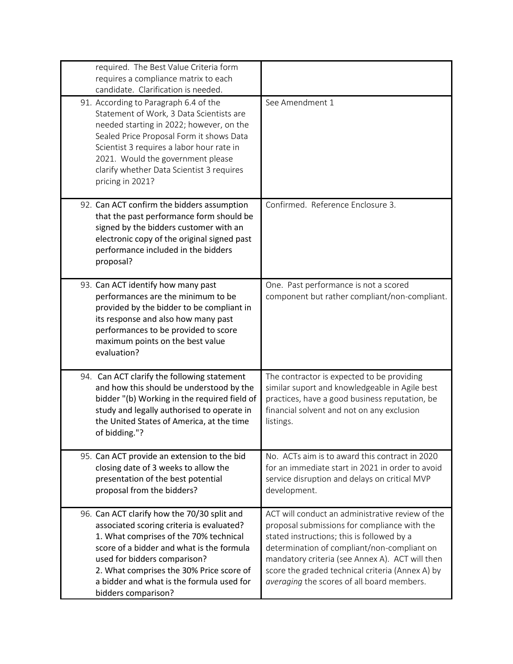| required. The Best Value Criteria form<br>requires a compliance matrix to each<br>candidate. Clarification is needed.                                                                                                                                                                                                           |                                                                                                                                                                                                                                                                                                                                                    |
|---------------------------------------------------------------------------------------------------------------------------------------------------------------------------------------------------------------------------------------------------------------------------------------------------------------------------------|----------------------------------------------------------------------------------------------------------------------------------------------------------------------------------------------------------------------------------------------------------------------------------------------------------------------------------------------------|
| 91. According to Paragraph 6.4 of the<br>Statement of Work, 3 Data Scientists are<br>needed starting in 2022; however, on the<br>Sealed Price Proposal Form it shows Data<br>Scientist 3 requires a labor hour rate in<br>2021. Would the government please<br>clarify whether Data Scientist 3 requires<br>pricing in 2021?    | See Amendment 1                                                                                                                                                                                                                                                                                                                                    |
| 92. Can ACT confirm the bidders assumption<br>that the past performance form should be<br>signed by the bidders customer with an<br>electronic copy of the original signed past<br>performance included in the bidders<br>proposal?                                                                                             | Confirmed. Reference Enclosure 3.                                                                                                                                                                                                                                                                                                                  |
| 93. Can ACT identify how many past<br>performances are the minimum to be<br>provided by the bidder to be compliant in<br>its response and also how many past<br>performances to be provided to score<br>maximum points on the best value<br>evaluation?                                                                         | One. Past performance is not a scored<br>component but rather compliant/non-compliant.                                                                                                                                                                                                                                                             |
| 94. Can ACT clarify the following statement<br>and how this should be understood by the<br>bidder "(b) Working in the required field of<br>study and legally authorised to operate in<br>the United States of America, at the time<br>of bidding."?                                                                             | The contractor is expected to be providing<br>similar suport and knowledgeable in Agile best<br>practices, have a good business reputation, be<br>financial solvent and not on any exclusion<br>listings.                                                                                                                                          |
| 95. Can ACT provide an extension to the bid<br>closing date of 3 weeks to allow the<br>presentation of the best potential<br>proposal from the bidders?                                                                                                                                                                         | No. ACTs aim is to award this contract in 2020<br>for an immediate start in 2021 in order to avoid<br>service disruption and delays on critical MVP<br>development.                                                                                                                                                                                |
| 96. Can ACT clarify how the 70/30 split and<br>associated scoring criteria is evaluated?<br>1. What comprises of the 70% technical<br>score of a bidder and what is the formula<br>used for bidders comparison?<br>2. What comprises the 30% Price score of<br>a bidder and what is the formula used for<br>bidders comparison? | ACT will conduct an administrative review of the<br>proposal submissions for compliance with the<br>stated instructions; this is followed by a<br>determination of compliant/non-compliant on<br>mandatory criteria (see Annex A). ACT will then<br>score the graded technical criteria (Annex A) by<br>averaging the scores of all board members. |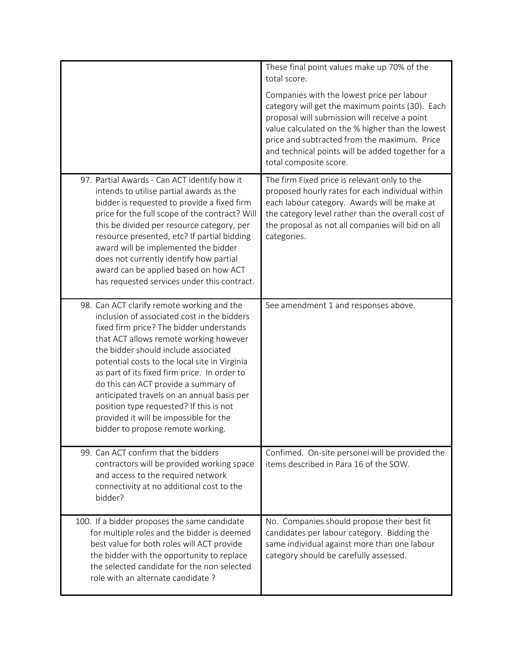|                                                                                                                                                                                                                                                                                                                                                                                                                                                                                                                                          | These final point values make up 70% of the<br>total score.<br>Companies with the lowest price per labour<br>category will get the maximum points (30). Each<br>proposal will submission will receive a point<br>value calculated on the % higher than the lowest<br>price and subtracted from the maximum. Price<br>and technical points will be added together for a<br>total composite score. |
|------------------------------------------------------------------------------------------------------------------------------------------------------------------------------------------------------------------------------------------------------------------------------------------------------------------------------------------------------------------------------------------------------------------------------------------------------------------------------------------------------------------------------------------|--------------------------------------------------------------------------------------------------------------------------------------------------------------------------------------------------------------------------------------------------------------------------------------------------------------------------------------------------------------------------------------------------|
| 97. Partial Awards - Can ACT identify how it<br>intends to utilise partial awards as the<br>bidder is requested to provide a fixed firm<br>price for the full scope of the contract? Will<br>this be divided per resource category, per<br>resource presented, etc? If partial bidding<br>award will be implemented the bidder<br>does not currently identify how partial<br>award can be applied based on how ACT<br>has requested services under this contract.                                                                        | The firm Fixed price is relevant only to the<br>proposed hourly rates for each individual within<br>each labour category. Awards will be make at<br>the category level rather than the overall cost of<br>the proposal as not all companies will bid on all<br>categories.                                                                                                                       |
| 98. Can ACT clarify remote working and the<br>inclusion of associated cost in the bidders<br>fixed firm price? The bidder understands<br>that ACT allows remote working however<br>the bidder should include associated<br>potential costs to the local site in Virginia<br>as part of its fixed firm price. In order to<br>do this can ACT provide a summary of<br>anticipated travels on an annual basis per<br>position type requested? If this is not<br>provided it will be impossible for the<br>bidder to propose remote working. | See amendment 1 and responses above.                                                                                                                                                                                                                                                                                                                                                             |
| 99. Can ACT confirm that the bidders<br>contractors will be provided working space<br>and access to the required network<br>connectivity at no additional cost to the<br>bidder?                                                                                                                                                                                                                                                                                                                                                         | Confimed. On-site personel will be provided the<br>items described in Para 16 of the SOW.                                                                                                                                                                                                                                                                                                        |
| 100. If a bidder proposes the same candidate<br>for multiple roles and the bidder is deemed<br>best value for both roles will ACT provide<br>the bidder with the opportunity to replace<br>the selected candidate for the non selected<br>role with an alternate candidate?                                                                                                                                                                                                                                                              | No. Companies should propose their best fit<br>candidates per labour category. Bidding the<br>same individual against more than one labour<br>category should be carefully assessed.                                                                                                                                                                                                             |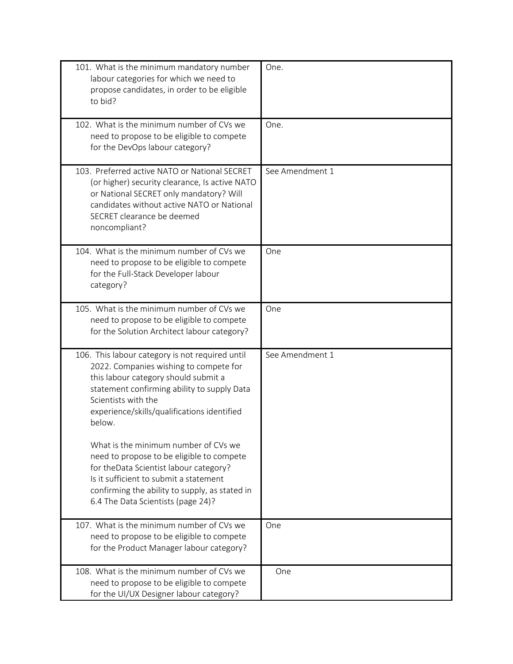| 101. What is the minimum mandatory number<br>labour categories for which we need to<br>propose candidates, in order to be eligible<br>to bid?                                                                                                                    | One.            |
|------------------------------------------------------------------------------------------------------------------------------------------------------------------------------------------------------------------------------------------------------------------|-----------------|
| 102. What is the minimum number of CVs we<br>need to propose to be eligible to compete<br>for the DevOps labour category?                                                                                                                                        | One.            |
| 103. Preferred active NATO or National SECRET<br>(or higher) security clearance, Is active NATO<br>or National SECRET only mandatory? Will<br>candidates without active NATO or National<br>SECRET clearance be deemed<br>noncompliant?                          | See Amendment 1 |
| 104. What is the minimum number of CVs we<br>need to propose to be eligible to compete<br>for the Full-Stack Developer labour<br>category?                                                                                                                       | One             |
| 105. What is the minimum number of CVs we<br>need to propose to be eligible to compete<br>for the Solution Architect labour category?                                                                                                                            | One             |
| 106. This labour category is not required until<br>2022. Companies wishing to compete for<br>this labour category should submit a<br>statement confirming ability to supply Data<br>Scientists with the<br>experience/skills/qualifications identified<br>below. | See Amendment 1 |
| What is the minimum number of CVs we<br>need to propose to be eligible to compete<br>for theData Scientist labour category?<br>Is it sufficient to submit a statement<br>confirming the ability to supply, as stated in<br>6.4 The Data Scientists (page 24)?    |                 |
| 107. What is the minimum number of CVs we<br>need to propose to be eligible to compete<br>for the Product Manager labour category?                                                                                                                               | One             |
| 108. What is the minimum number of CVs we<br>need to propose to be eligible to compete<br>for the UI/UX Designer labour category?                                                                                                                                | One             |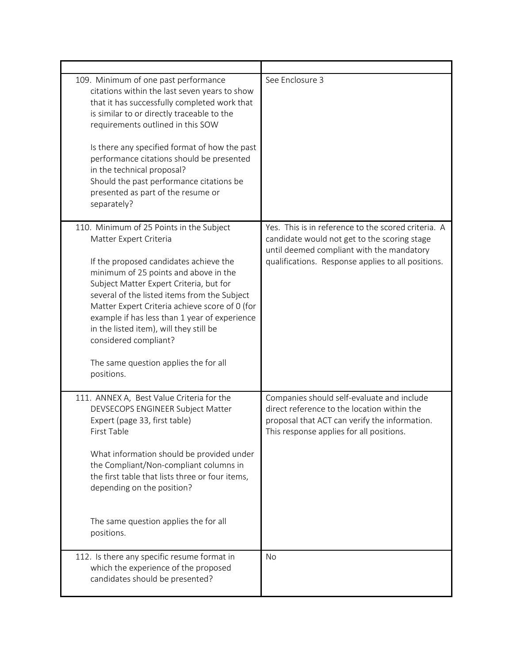| 109. Minimum of one past performance<br>citations within the last seven years to show<br>that it has successfully completed work that<br>is similar to or directly traceable to the<br>requirements outlined in this SOW<br>Is there any specified format of how the past<br>performance citations should be presented<br>in the technical proposal?<br>Should the past performance citations be<br>presented as part of the resume or<br>separately?                          | See Enclosure 3                                                                                                                                                                                        |
|--------------------------------------------------------------------------------------------------------------------------------------------------------------------------------------------------------------------------------------------------------------------------------------------------------------------------------------------------------------------------------------------------------------------------------------------------------------------------------|--------------------------------------------------------------------------------------------------------------------------------------------------------------------------------------------------------|
| 110. Minimum of 25 Points in the Subject<br>Matter Expert Criteria<br>If the proposed candidates achieve the<br>minimum of 25 points and above in the<br>Subject Matter Expert Criteria, but for<br>several of the listed items from the Subject<br>Matter Expert Criteria achieve score of 0 (for<br>example if has less than 1 year of experience<br>in the listed item), will they still be<br>considered compliant?<br>The same question applies the for all<br>positions. | Yes. This is in reference to the scored criteria. A<br>candidate would not get to the scoring stage<br>until deemed compliant with the mandatory<br>qualifications. Response applies to all positions. |
| 111. ANNEX A, Best Value Criteria for the<br>DEVSECOPS ENGINEER Subject Matter<br>Expert (page 33, first table)<br>First Table<br>What information should be provided under<br>the Compliant/Non-compliant columns in<br>the first table that lists three or four items,<br>depending on the position?<br>The same question applies the for all<br>positions.                                                                                                                  | Companies should self-evaluate and include<br>direct reference to the location within the<br>proposal that ACT can verify the information.<br>This response applies for all positions.                 |
| 112. Is there any specific resume format in<br>which the experience of the proposed<br>candidates should be presented?                                                                                                                                                                                                                                                                                                                                                         | <b>No</b>                                                                                                                                                                                              |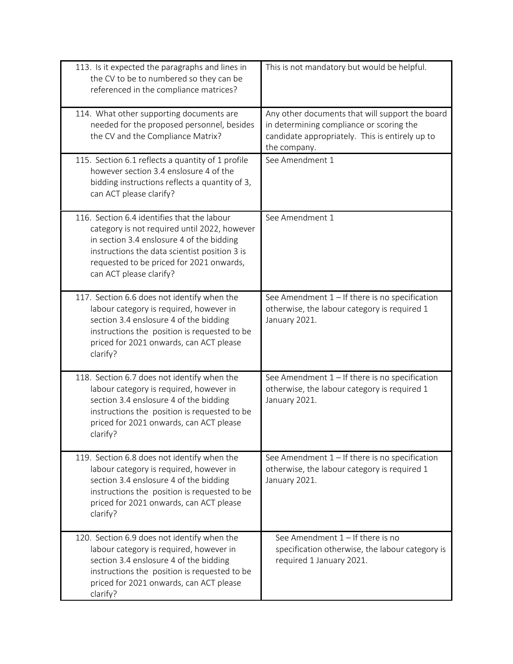| 113. Is it expected the paragraphs and lines in<br>the CV to be to numbered so they can be<br>referenced in the compliance matrices?                                                                                                                             | This is not mandatory but would be helpful.                                                                                                                    |
|------------------------------------------------------------------------------------------------------------------------------------------------------------------------------------------------------------------------------------------------------------------|----------------------------------------------------------------------------------------------------------------------------------------------------------------|
| 114. What other supporting documents are<br>needed for the proposed personnel, besides<br>the CV and the Compliance Matrix?                                                                                                                                      | Any other documents that will support the board<br>in determining compliance or scoring the<br>candidate appropriately. This is entirely up to<br>the company. |
| 115. Section 6.1 reflects a quantity of 1 profile<br>however section 3.4 enslosure 4 of the<br>bidding instructions reflects a quantity of 3,<br>can ACT please clarify?                                                                                         | See Amendment 1                                                                                                                                                |
| 116. Section 6.4 identifies that the labour<br>category is not required until 2022, however<br>in section 3.4 enslosure 4 of the bidding<br>instructions the data scientist position 3 is<br>requested to be priced for 2021 onwards,<br>can ACT please clarify? | See Amendment 1                                                                                                                                                |
| 117. Section 6.6 does not identify when the<br>labour category is required, however in<br>section 3.4 enslosure 4 of the bidding<br>instructions the position is requested to be<br>priced for 2021 onwards, can ACT please<br>clarify?                          | See Amendment $1 -$ If there is no specification<br>otherwise, the labour category is required 1<br>January 2021.                                              |
| 118. Section 6.7 does not identify when the<br>labour category is required, however in<br>section 3.4 enslosure 4 of the bidding<br>instructions the position is requested to be<br>priced for 2021 onwards, can ACT please<br>clarify?                          | See Amendment $1 -$ If there is no specification<br>otherwise, the labour category is required 1<br>January 2021.                                              |
| 119. Section 6.8 does not identify when the<br>labour category is required, however in<br>section 3.4 enslosure 4 of the bidding<br>instructions the position is requested to be<br>priced for 2021 onwards, can ACT please<br>clarify?                          | See Amendment $1 -$ If there is no specification<br>otherwise, the labour category is required 1<br>January 2021.                                              |
| 120. Section 6.9 does not identify when the<br>labour category is required, however in<br>section 3.4 enslosure 4 of the bidding<br>instructions the position is requested to be<br>priced for 2021 onwards, can ACT please<br>clarify?                          | See Amendment $1 -$ If there is no<br>specification otherwise, the labour category is<br>required 1 January 2021.                                              |